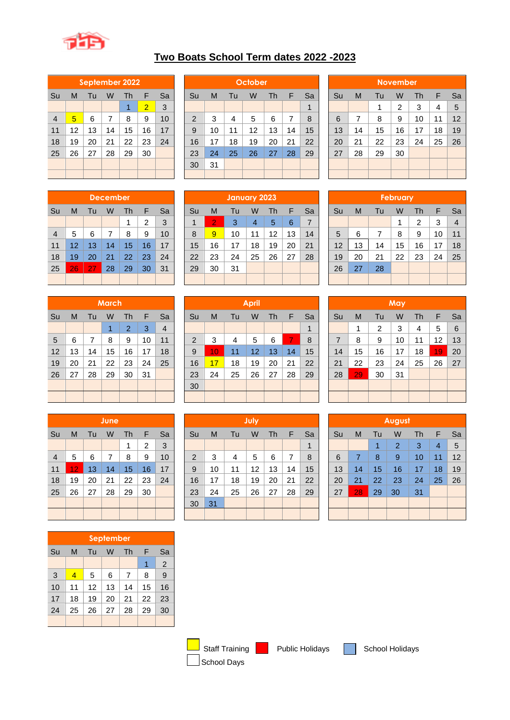

## **Two Boats School Term dates 2022 -2023**

| September 2022 |    |    |    |    |                |    |  |  |  |  |  |  |  |  |
|----------------|----|----|----|----|----------------|----|--|--|--|--|--|--|--|--|
| Su             | M  | Tu | w  | Th | F              | Sa |  |  |  |  |  |  |  |  |
|                |    |    |    | 1  | $\overline{2}$ | 3  |  |  |  |  |  |  |  |  |
| $\overline{4}$ | 5  | 9  | 10 |    |                |    |  |  |  |  |  |  |  |  |
| 11             | 12 | 13 | 14 | 15 | 16             | 17 |  |  |  |  |  |  |  |  |
| 18             | 19 | 20 | 21 | 22 | 23             | 24 |  |  |  |  |  |  |  |  |
| 25             | 26 | 27 | 28 | 29 | 30             |    |  |  |  |  |  |  |  |  |
|                |    |    |    |    |                |    |  |  |  |  |  |  |  |  |
|                |    |    |    |    |                |    |  |  |  |  |  |  |  |  |

|                | September 2022 |     |    |    |                |    |  |                |    |    |         |    |    |    |    |    |    |                 |    |    |    |
|----------------|----------------|-----|----|----|----------------|----|--|----------------|----|----|---------|----|----|----|----|----|----|-----------------|----|----|----|
|                |                |     |    |    |                |    |  |                |    |    | October |    |    |    |    |    |    | <b>November</b> |    |    |    |
| Su             | M              | l u | W  | Th |                | Sa |  | Su             | M  | Tu | W       | Th | F  | Sa | Su | M  | Tu | W               | Th | F  | Sa |
|                |                |     |    |    | $\overline{2}$ | 3  |  |                |    |    |         |    |    |    |    |    |    | 2               | 3  | 4  | 5  |
| $\overline{4}$ | 5              | 6   |    | 8  | 9              | 10 |  | $\overline{2}$ | 3  | 4  | 5       | 6  |    | 8  | 6  | ⇁  | 8  | 9               | 10 | 11 | 12 |
| 11             | 12             | 13  | 14 | 15 | 16             | 17 |  | 9              | 10 | 11 | 12      | 13 | 14 | 15 | 13 | 14 | 15 | 16              | 17 | 18 | 19 |
| 18             | 19             | 20  | 21 | 22 | 23             | 24 |  | 16             | 17 | 18 | 19      | 20 | 21 | 22 | 20 | 21 | 22 | 23              | 24 | 25 | 26 |
| 25             | 26             | 27  | 28 | 29 | 30             |    |  | 23             | 24 | 25 | 26      | 27 | 28 | 29 | 27 | 28 | 29 | 30              |    |    |    |
|                |                |     |    |    |                |    |  | 30             | 31 |    |         |    |    |    |    |    |    |                 |    |    |    |
|                |                |     |    |    |                |    |  |                |    |    |         |    |    |    |    |    |    |                 |    |    |    |

| <b>November</b> |                               |    |    |    |    |    |  |  |  |  |  |  |  |  |
|-----------------|-------------------------------|----|----|----|----|----|--|--|--|--|--|--|--|--|
| Su              | Sa<br>Th<br>F<br>М<br>Tu<br>W |    |    |    |    |    |  |  |  |  |  |  |  |  |
|                 |                               | 1  | 2  | 3  | 4  | 5  |  |  |  |  |  |  |  |  |
| 6               | 7                             | 8  | 9  | 10 | 11 | 12 |  |  |  |  |  |  |  |  |
| 13              | 14                            | 15 | 16 | 17 | 18 | 19 |  |  |  |  |  |  |  |  |
| 20              | 21                            | 22 | 23 | 24 | 25 | 26 |  |  |  |  |  |  |  |  |
| 27              | 28                            | 29 | 30 |    |    |    |  |  |  |  |  |  |  |  |
|                 |                               |    |    |    |    |    |  |  |  |  |  |  |  |  |
|                 |                               |    |    |    |    |    |  |  |  |  |  |  |  |  |

| <b>December</b> |                               |    |    |    |    |    |  |  |  |  |  |  |  |  |
|-----------------|-------------------------------|----|----|----|----|----|--|--|--|--|--|--|--|--|
| Su              | Sa<br>F<br>M<br>Tu<br>W<br>Th |    |    |    |    |    |  |  |  |  |  |  |  |  |
|                 | 3<br>2<br>1                   |    |    |    |    |    |  |  |  |  |  |  |  |  |
| $\overline{4}$  | 10<br>9<br>5<br>8<br>6<br>7   |    |    |    |    |    |  |  |  |  |  |  |  |  |
| 11              | 12                            | 13 | 14 | 15 | 16 | 17 |  |  |  |  |  |  |  |  |
| 18              | 19                            | 20 | 21 | 22 | 23 | 24 |  |  |  |  |  |  |  |  |
| 25              | 26                            | 27 | 28 | 29 | 30 | 31 |  |  |  |  |  |  |  |  |
|                 |                               |    |    |    |    |    |  |  |  |  |  |  |  |  |

|    | March |    |    |    |    |                |  |  |  |  |  |  |  |  |
|----|-------|----|----|----|----|----------------|--|--|--|--|--|--|--|--|
| Su | M     | F  | Sa |    |    |                |  |  |  |  |  |  |  |  |
|    |       |    | 1  | 2  | 3  | $\overline{4}$ |  |  |  |  |  |  |  |  |
| 5  | 6     | 7  | 8  | 9  | 10 | 11             |  |  |  |  |  |  |  |  |
| 12 | 13    | 14 | 15 | 16 | 17 | 18             |  |  |  |  |  |  |  |  |
| 19 | 20    | 21 | 22 | 23 | 24 | 25             |  |  |  |  |  |  |  |  |
| 26 | 27    | 28 | 29 | 30 | 31 |                |  |  |  |  |  |  |  |  |
|    |       |    |    |    |    |                |  |  |  |  |  |  |  |  |
|    |       |    |    |    |    |                |  |  |  |  |  |  |  |  |

|                | June |                          |                |    |                |    |  |  |  |  |  |  |  |  |  |
|----------------|------|--------------------------|----------------|----|----------------|----|--|--|--|--|--|--|--|--|--|
| Su             | M    | Sa<br>F<br>Th<br>Tu<br>W |                |    |                |    |  |  |  |  |  |  |  |  |  |
|                |      |                          |                | 1  | $\overline{2}$ | 3  |  |  |  |  |  |  |  |  |  |
| $\overline{4}$ | 5    | 6                        | $\overline{7}$ | 8  | 9              | 10 |  |  |  |  |  |  |  |  |  |
| 11             | 12   | 13                       | 14             | 15 | 16             | 17 |  |  |  |  |  |  |  |  |  |
| 18             | 19   | 20                       | 21             | 22 | 23             | 24 |  |  |  |  |  |  |  |  |  |
| 25             | 26   | 27                       | 28             | 29 | 30             |    |  |  |  |  |  |  |  |  |  |
|                |      |                          |                |    |                |    |  |  |  |  |  |  |  |  |  |
|                |      |                          |                |    |                |    |  |  |  |  |  |  |  |  |  |

| <b>September</b> |                               |                       |    |    |    |    |  |  |  |  |  |  |  |  |  |
|------------------|-------------------------------|-----------------------|----|----|----|----|--|--|--|--|--|--|--|--|--|
| Su               | Sa<br>F<br>Tu<br>Th<br>М<br>W |                       |    |    |    |    |  |  |  |  |  |  |  |  |  |
|                  | $\overline{2}$<br>1           |                       |    |    |    |    |  |  |  |  |  |  |  |  |  |
| 3                | $\overline{4}$                | 9<br>5<br>8<br>6<br>7 |    |    |    |    |  |  |  |  |  |  |  |  |  |
| 10               | 11                            | 12                    | 13 | 14 | 15 | 16 |  |  |  |  |  |  |  |  |  |
| 17               | 18                            | 19                    | 20 | 21 | 22 | 23 |  |  |  |  |  |  |  |  |  |
| 24               | 25                            | 26                    | 28 | 29 | 30 |    |  |  |  |  |  |  |  |  |  |
|                  |                               |                       |    |    |    |    |  |  |  |  |  |  |  |  |  |

|                |    |     | <b>December</b> |    |        |    |    |    | January 2023 |    |    |    |    |    |    |    | February |     |    |                |
|----------------|----|-----|-----------------|----|--------|----|----|----|--------------|----|----|----|----|----|----|----|----------|-----|----|----------------|
| Su             | M  | ιu. | W               | Th |        | Sa | Su | M  | Tu           | W  | Th |    | Sa | Su | M  | Tu | W        | l h |    | Sa             |
|                |    |     |                 |    | າ<br>∠ | 3  |    |    | 3            | 4  | 5  | 6  |    |    |    |    |          | 2   | 3  | $\overline{4}$ |
| $\overline{4}$ | 5  | 6   |                 | 8  | 9      | 10 | 8  | 9  | 10           | 11 | 12 | 13 | 14 | 5  | 6  |    | 8        | 9   | 10 | 11             |
| 11             | 12 | 13  | 14              | 15 | 16     | 17 | 15 | 16 | 17           | 18 | 19 | 20 | 21 | 12 | 13 | 14 | 15       | 16  | 17 | 18             |
| 18             | 19 | 20  | 21              | 22 | 23     | 24 | 22 | 23 | 24           | 25 | 26 | 27 | 28 | 19 | 20 | 21 | 22       | 23  | 24 | 25             |
| 25             | 26 |     | 28              | 29 | 30     | 31 | 29 | 30 | 31           |    |    |    |    | 26 | 27 | 28 |          |     |    |                |
|                |    |     |                 |    |        |    |    |    |              |    |    |    |    |    |    |    |          |     |    |                |

|                 |    |    | <b>March</b> |    |    |                |  |                |    |    | <b>April</b>    |    |    |    |    |    |    | May |    |    |    |
|-----------------|----|----|--------------|----|----|----------------|--|----------------|----|----|-----------------|----|----|----|----|----|----|-----|----|----|----|
| Su              | M  | Tu | W            | Th | F  | Sa             |  | Su             | M  | Tu | W               | Th | F  | Sa | Su | M  | Tu | W   | Th | E  | Sa |
|                 |    |    |              | 2  | 3  | $\overline{4}$ |  |                |    |    |                 |    |    |    |    |    | 2  | 3   | 4  | 5  | -6 |
| 5               | 6  |    | 8            | 9  | 10 | 11             |  | $\overline{2}$ | 3  | 4  | 5               | 6  | 7  | 8  | 7  | 8  | 9  | 10  | 11 | 12 | 13 |
| 12 <sup>2</sup> | 13 | 14 | 15           | 16 | 17 | 18             |  | 9              | 10 | 11 | 12 <sub>1</sub> | 13 | 14 | 15 | 14 | 15 | 16 | 17  | 18 | 19 | 20 |
| 19              | 20 | 21 | 22           | 23 | 24 | 25             |  | 16             | 17 | 18 | 19              | 20 | 21 | 22 | 21 | 22 | 23 | 24  | 25 | 26 | 27 |
| 26              | 27 | 28 | 29           | 30 | 31 |                |  | 23             | 24 | 25 | 26              | 27 | 28 | 29 | 28 | 29 | 30 | 31  |    |    |    |
|                 |    |    |              |    |    |                |  | 30             |    |    |                 |    |    |    |    |    |    |     |    |    |    |
|                 |    |    |              |    |    |                |  |                |    |    |                 |    |    |    |    |    |    |     |    |    |    |

|                |    |    | June |    |    |    |                |    |    | July |    |    |    |    |     |              | August |    |    |    |
|----------------|----|----|------|----|----|----|----------------|----|----|------|----|----|----|----|-----|--------------|--------|----|----|----|
| Su             | M  | Tu | W    | Th | F  | Sa | Su             | M  | Tu | W    | Th | F  | Sa | Su | M   | Tu           | W      | Th | F  | Sa |
|                |    |    |      | 4  | 2  | 3  |                |    |    |      |    |    |    |    |     |              | 2      | 3  | 4  | -5 |
| $\overline{4}$ | 5  | 6  | 7    | 8  | 9  | 10 | $\overline{2}$ | 3  | 4  | 5    | 6  | 7  | 8  | 6  | 7   | 8            | 9      | 10 | 11 | 12 |
| 11             | 12 | 13 | 14   | 15 | 16 | 17 | 9              | 10 | 11 | 12   | 13 | 14 | 15 | 13 | 14  | 15           | 16     | 17 | 18 | 19 |
| 18             | 19 | 20 | 21   | 22 | 23 | 24 | 16             | 17 | 18 | 19   | 20 | 21 | 22 | 20 | 21  | $22^{\circ}$ | 23     | 24 | 25 | 26 |
| 25             | 26 | 27 | 28   | 29 | 30 |    | 23             | 24 | 25 | 26   | 27 | 28 | 29 | 27 | 28' | 29           | 30     | 31 |    |    |
|                |    |    |      |    |    |    | 30             | 31 |    |      |    |    |    |    |     |              |        |    |    |    |
|                |    |    |      |    |    |    |                |    |    |      |    |    |    |    |     |              |        |    |    |    |

|    | February                |    |    |    |    |                |  |  |  |  |  |  |  |  |  |
|----|-------------------------|----|----|----|----|----------------|--|--|--|--|--|--|--|--|--|
| Su | М<br>Th<br>F<br>Tu<br>W |    |    |    |    |                |  |  |  |  |  |  |  |  |  |
|    |                         |    | 1  | 2  | 3  | $\overline{4}$ |  |  |  |  |  |  |  |  |  |
| 5  | 6                       | 7  | 8  | 9  | 10 | 11             |  |  |  |  |  |  |  |  |  |
| 12 | 13                      | 14 | 15 | 16 | 17 | 18             |  |  |  |  |  |  |  |  |  |
| 19 | 20                      | 21 | 22 | 23 | 24 | 25             |  |  |  |  |  |  |  |  |  |
| 26 | 27                      | 28 |    |    |    |                |  |  |  |  |  |  |  |  |  |
|    |                         |    |    |    |    |                |  |  |  |  |  |  |  |  |  |

| May            |    |                                         |    |    |    |    |  |  |  |  |  |  |  |  |  |
|----------------|----|-----------------------------------------|----|----|----|----|--|--|--|--|--|--|--|--|--|
| Su             | M  | Sa<br>Tu<br>Th<br>F<br>W<br>3<br>2<br>4 |    |    |    |    |  |  |  |  |  |  |  |  |  |
|                | 1  | 5                                       | 6  |    |    |    |  |  |  |  |  |  |  |  |  |
| $\overline{7}$ | 8  | 9                                       | 10 | 11 | 12 | 13 |  |  |  |  |  |  |  |  |  |
| 14             | 15 | 16                                      | 17 | 18 | 19 | 20 |  |  |  |  |  |  |  |  |  |
| 21             | 22 | 23                                      | 24 | 25 | 26 | 27 |  |  |  |  |  |  |  |  |  |
| 28             | 29 | 30                                      | 31 |    |    |    |  |  |  |  |  |  |  |  |  |
|                |    |                                         |    |    |    |    |  |  |  |  |  |  |  |  |  |
|                |    |                                         |    |    |    |    |  |  |  |  |  |  |  |  |  |

| <b>August</b> |                |    |                |    |                |    |
|---------------|----------------|----|----------------|----|----------------|----|
| Su            | M              | Tu | W              | Th | F              | Sa |
|               |                | 1  | $\overline{2}$ | 3  | $\overline{4}$ | 5  |
| 6             | $\overline{7}$ | 8  | 9              | 10 | 11             | 12 |
| 13            | 14             | 15 | 16             | 17 | 18             | 19 |
| 20            | 21             | 22 | 23             | 24 | 25             | 26 |
| 27            | 28             | 29 | 30             | 31 |                |    |
|               |                |    |                |    |                |    |
|               |                |    |                |    |                |    |

School Days